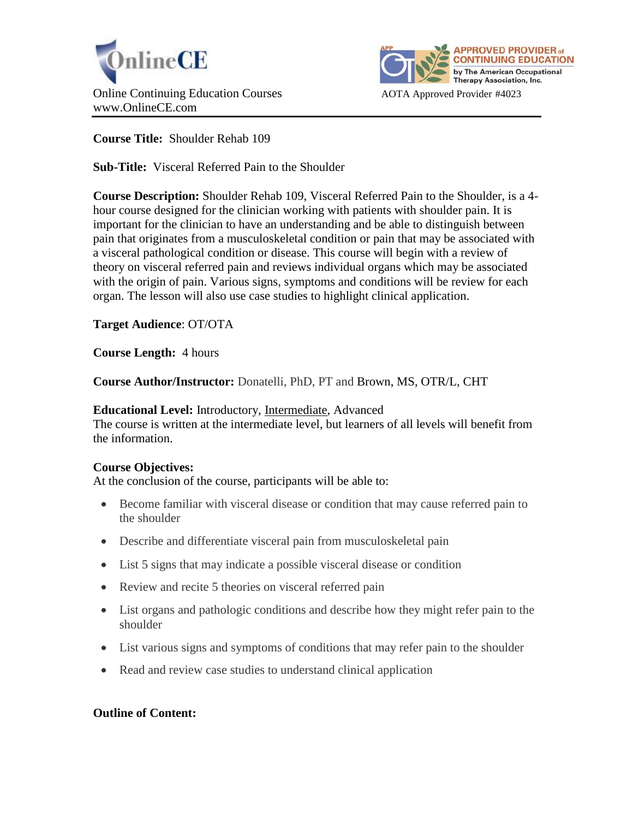



**Course Title:** Shoulder Rehab 109

**Sub-Title:** Visceral Referred Pain to the Shoulder

**Course Description:** Shoulder Rehab 109, Visceral Referred Pain to the Shoulder, is a 4 hour course designed for the clinician working with patients with shoulder pain. It is important for the clinician to have an understanding and be able to distinguish between pain that originates from a musculoskeletal condition or pain that may be associated with a visceral pathological condition or disease. This course will begin with a review of theory on visceral referred pain and reviews individual organs which may be associated with the origin of pain. Various signs, symptoms and conditions will be review for each organ. The lesson will also use case studies to highlight clinical application.

**Target Audience**: OT/OTA

**Course Length:** 4 hours

**Course Author/Instructor:** Donatelli, PhD, PT and Brown, MS, OTR/L, CHT

### **Educational Level:** Introductory, Intermediate, Advanced

The course is written at the intermediate level, but learners of all levels will benefit from the information.

### **Course Objectives:**

At the conclusion of the course, participants will be able to:

- Become familiar with visceral disease or condition that may cause referred pain to the shoulder
- Describe and differentiate visceral pain from musculoskeletal pain
- List 5 signs that may indicate a possible visceral disease or condition
- Review and recite 5 theories on visceral referred pain
- List organs and pathologic conditions and describe how they might refer pain to the shoulder
- List various signs and symptoms of conditions that may refer pain to the shoulder
- Read and review case studies to understand clinical application

# **Outline of Content:**